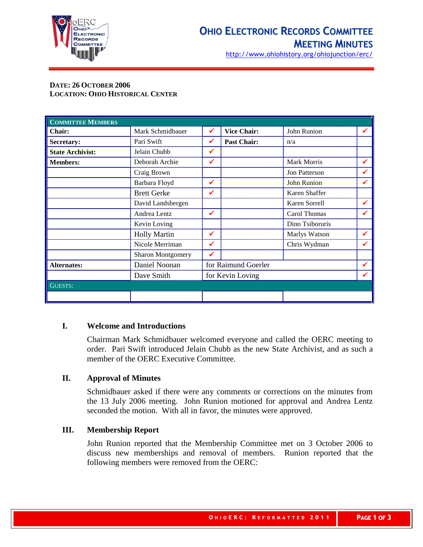

http://www.ohiohistory.org/ohiojunction/erc/

### **DATE: 26 OCTOBER 2006 LOCATION: OHIO HISTORICAL CENTER**

| <b>COMMITTEE MEMBERS</b> |                     |                     |                    |                 |   |
|--------------------------|---------------------|---------------------|--------------------|-----------------|---|
| Chair:                   | Mark Schmidbauer    | ✔                   | <b>Vice Chair:</b> | John Runion     | ✔ |
| Secretary:               | Pari Swift          | ✔                   | <b>Past Chair:</b> | n/a             |   |
| <b>State Archivist:</b>  | Jelain Chubb        | ✔                   |                    |                 |   |
| <b>Members:</b>          | Deborah Archie      | ✔                   |                    | Mark Morris     |   |
|                          | Craig Brown         |                     |                    | Jon Patterson   |   |
|                          | Barbara Floyd       | ✔                   |                    | John Runion     |   |
|                          | <b>Brett Gerke</b>  | ✔                   |                    | Karen Shaffer   |   |
|                          | David Landsbergen   |                     |                    | Karen Sorrell   |   |
|                          | Andrea Lentz        | ✔                   |                    | Carol Thomas    |   |
|                          | Kevin Loving        |                     |                    | Dino Tsiboruris |   |
|                          | <b>Holly Martin</b> | ✔                   |                    | Marlys Watson   |   |
|                          | Nicole Merriman     |                     |                    | Chris Wydman    |   |
|                          | Sharon Montgomery   |                     |                    |                 |   |
| <b>Alternates:</b>       | Daniel Noonan       | for Raimund Goerler |                    |                 | ✔ |
|                          | Dave Smith          | for Kevin Loving    |                    |                 |   |
| <b>GUESTS:</b>           |                     |                     |                    |                 |   |
|                          |                     |                     |                    |                 |   |

#### **I. Welcome and Introductions**

Chairman Mark Schmidbauer welcomed everyone and called the OERC meeting to order. Pari Swift introduced Jelain Chubb as the new State Archivist, and as such a member of the OERC Executive Committee.

#### **II. Approval of Minutes**

Schmidbauer asked if there were any comments or corrections on the minutes from the 13 July 2006 meeting. John Runion motioned for approval and Andrea Lentz seconded the motion. With all in favor, the minutes were approved.

#### **III. Membership Report**

John Runion reported that the Membership Committee met on 3 October 2006 to discuss new memberships and removal of members. Runion reported that the following members were removed from the OERC: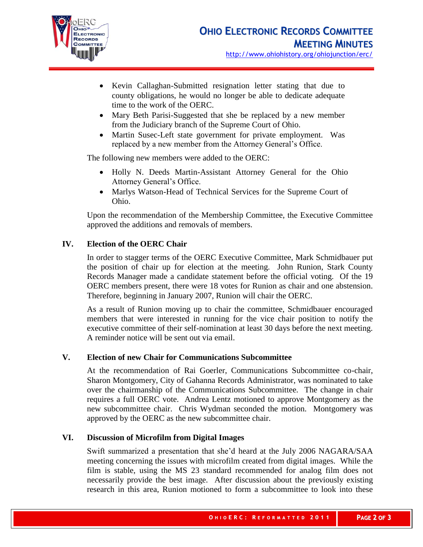

- Kevin Callaghan-Submitted resignation letter stating that due to county obligations, he would no longer be able to dedicate adequate time to the work of the OERC.
- Mary Beth Parisi-Suggested that she be replaced by a new member from the Judiciary branch of the Supreme Court of Ohio.
- Martin Susec-Left state government for private employment. Was replaced by a new member from the Attorney General's Office.

The following new members were added to the OERC:

- Holly N. Deeds Martin-Assistant Attorney General for the Ohio Attorney General's Office.
- Marlys Watson-Head of Technical Services for the Supreme Court of Ohio.

Upon the recommendation of the Membership Committee, the Executive Committee approved the additions and removals of members.

# **IV. Election of the OERC Chair**

In order to stagger terms of the OERC Executive Committee, Mark Schmidbauer put the position of chair up for election at the meeting. John Runion, Stark County Records Manager made a candidate statement before the official voting. Of the 19 OERC members present, there were 18 votes for Runion as chair and one abstension. Therefore, beginning in January 2007, Runion will chair the OERC.

As a result of Runion moving up to chair the committee, Schmidbauer encouraged members that were interested in running for the vice chair position to notify the executive committee of their self-nomination at least 30 days before the next meeting. A reminder notice will be sent out via email.

# **V. Election of new Chair for Communications Subcommittee**

At the recommendation of Rai Goerler, Communications Subcommittee co-chair, Sharon Montgomery, City of Gahanna Records Administrator, was nominated to take over the chairmanship of the Communications Subcommittee. The change in chair requires a full OERC vote. Andrea Lentz motioned to approve Montgomery as the new subcommittee chair. Chris Wydman seconded the motion. Montgomery was approved by the OERC as the new subcommittee chair.

#### **VI. Discussion of Microfilm from Digital Images**

Swift summarized a presentation that she'd heard at the July 2006 NAGARA/SAA meeting concerning the issues with microfilm created from digital images. While the film is stable, using the MS 23 standard recommended for analog film does not necessarily provide the best image. After discussion about the previously existing research in this area, Runion motioned to form a subcommittee to look into these